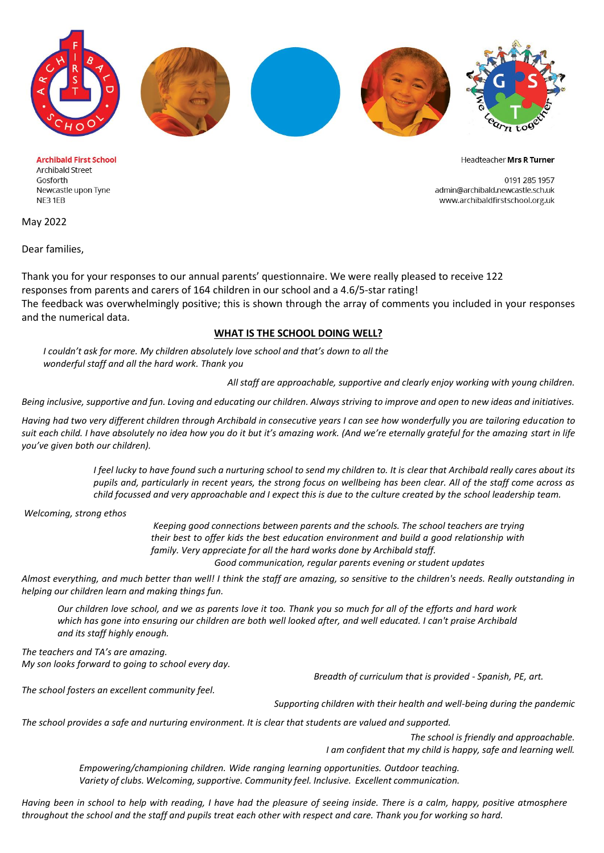

**Archibald First School Archibald Street** Gosforth Newcastle upon Tyne NE31EB

Headteacher Mrs R Turner

0191 285 1957 admin@archibald.newcastle.sch.uk www.archibaldfirstschool.org.uk

May 2022

Dear families,

Thank you for your responses to our annual parents' questionnaire. We were really pleased to receive 122 responses from parents and carers of 164 children in our school and a 4.6/5-star rating! The feedback was overwhelmingly positive; this is shown through the array of comments you included in your responses and the numerical data.

## **WHAT IS THE SCHOOL DOING WELL?**

*I couldn't ask for more. My children absolutely love school and that's down to all the wonderful staff and all the hard work. Thank you* 

*All staff are approachable, supportive and clearly enjoy working with young children.*

*Being inclusive, supportive and fun. Loving and educating our children. Always striving to improve and open to new ideas and initiatives.*

*Having had two very different children through Archibald in consecutive years I can see how wonderfully you are tailoring education to suit each child. I have absolutely no idea how you do it but it's amazing work. (And we're eternally grateful for the amazing start in life you've given both our children).* 

> *I feel lucky to have found such a nurturing school to send my children to. It is clear that Archibald really cares about its pupils and, particularly in recent years, the strong focus on wellbeing has been clear. All of the staff come across as child focussed and very approachable and I expect this is due to the culture created by the school leadership team.*

*Welcoming, strong ethos*

*Keeping good connections between parents and the schools. The school teachers are trying their best to offer kids the best education environment and build a good relationship with family. Very appreciate for all the hard works done by Archibald staff.*

 *Good communication, regular parents evening or student updates* 

*Almost everything, and much better than well! I think the staff are amazing, so sensitive to the children's needs. Really outstanding in helping our children learn and making things fun.* 

*Our children love school, and we as parents love it too. Thank you so much for all of the efforts and hard work which has gone into ensuring our children are both well looked after, and well educated. I can't praise Archibald and its staff highly enough.* 

*The teachers and TA's are amazing. My son looks forward to going to school every day.*

 *Breadth of curriculum that is provided - Spanish, PE, art.* 

*The school fosters an excellent community feel.* 

*Supporting children with their health and well-being during the pandemic* 

*The school provides a safe and nurturing environment. It is clear that students are valued and supported.* 

*The school is friendly and approachable. I am confident that my child is happy, safe and learning well.* 

*Empowering/championing children. Wide ranging learning opportunities. Outdoor teaching. Variety of clubs. Welcoming, supportive. Community feel. Inclusive. Excellent communication.* 

*Having been in school to help with reading, I have had the pleasure of seeing inside. There is a calm, happy, positive atmosphere throughout the school and the staff and pupils treat each other with respect and care. Thank you for working so hard.*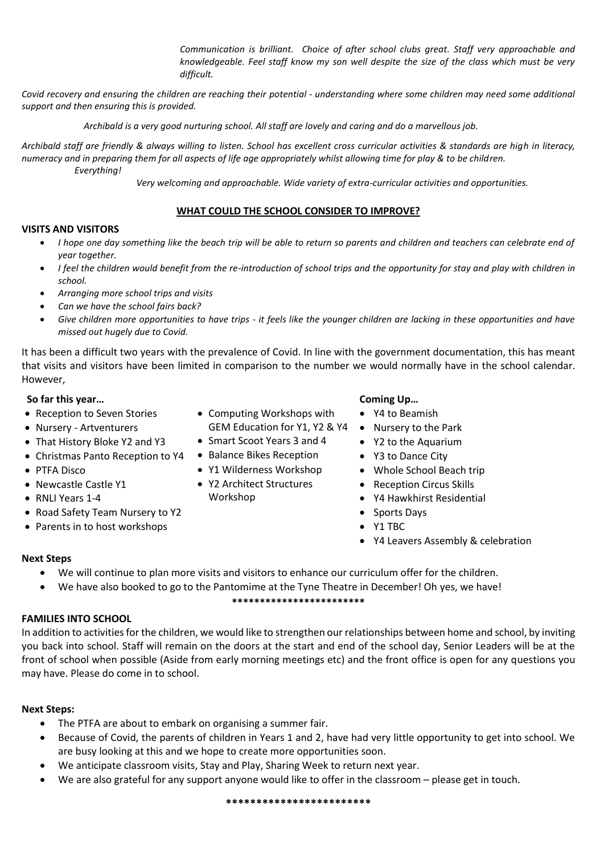*Communication is brilliant. Choice of after school clubs great. Staff very approachable and knowledgeable. Feel staff know my son well despite the size of the class which must be very difficult.*

*Covid recovery and ensuring the children are reaching their potential - understanding where some children may need some additional support and then ensuring this is provided.*

 *Archibald is a very good nurturing school. All staff are lovely and caring and do a marvellous job.*

*Archibald staff are friendly & always willing to listen. School has excellent cross curricular activities & standards are high in literacy, numeracy and in preparing them for all aspects of life age appropriately whilst allowing time for play & to be children. Everything!* 

 *Very welcoming and approachable. Wide variety of extra-curricular activities and opportunities.* 

## **WHAT COULD THE SCHOOL CONSIDER TO IMPROVE?**

### **VISITS AND VISITORS**

- *I hope one day something like the beach trip will be able to return so parents and children and teachers can celebrate end of year together.*
- *I feel the children would benefit from the re-introduction of school trips and the opportunity for stay and play with children in school.*
- *Arranging more school trips and visits*
- *Can we have the school fairs back?*
- *Give children more opportunities to have trips - it feels like the younger children are lacking in these opportunities and have missed out hugely due to Covid.*

It has been a difficult two years with the prevalence of Covid. In line with the government documentation, this has meant that visits and visitors have been limited in comparison to the number we would normally have in the school calendar. However,

## **So far this year…**

- Reception to Seven Stories
- Nursery Artventurers
- That History Bloke Y2 and Y3
- Christmas Panto Reception to Y4 Balance Bikes Reception
- PTFA Disco
- Newcastle Castle Y1
- RNLI Years 1-4
- Road Safety Team Nursery to Y2
- Parents in to host workshops
- Computing Workshops with
- Smart Scoot Years 3 and 4
- 
- Y1 Wilderness Workshop
- Y2 Architect Structures Workshop

## **Coming Up…**

- Y4 to Beamish
- GEM Education for Y1, Y2 & Y4 . Nursery to the Park
	- Y2 to the Aquarium
	- Y3 to Dance City
	- Whole School Beach trip
	- Reception Circus Skills
	- Y4 Hawkhirst Residential
	- Sports Days
	- Y1 TBC
	- Y4 Leavers Assembly & celebration

## **Next Steps**

- We will continue to plan more visits and visitors to enhance our curriculum offer for the children.
- We have also booked to go to the Pantomime at the Tyne Theatre in December! Oh yes, we have!

### **\*\*\*\*\*\*\*\*\*\*\*\*\*\*\*\*\*\*\*\*\*\*\*\***

## **FAMILIES INTO SCHOOL**

In addition to activities for the children, we would like to strengthen our relationships between home and school, by inviting you back into school. Staff will remain on the doors at the start and end of the school day, Senior Leaders will be at the front of school when possible (Aside from early morning meetings etc) and the front office is open for any questions you may have. Please do come in to school.

## **Next Steps:**

- The PTFA are about to embark on organising a summer fair.
- Because of Covid, the parents of children in Years 1 and 2, have had very little opportunity to get into school. We are busy looking at this and we hope to create more opportunities soon.
- We anticipate classroom visits, Stay and Play, Sharing Week to return next year.
- We are also grateful for any support anyone would like to offer in the classroom please get in touch.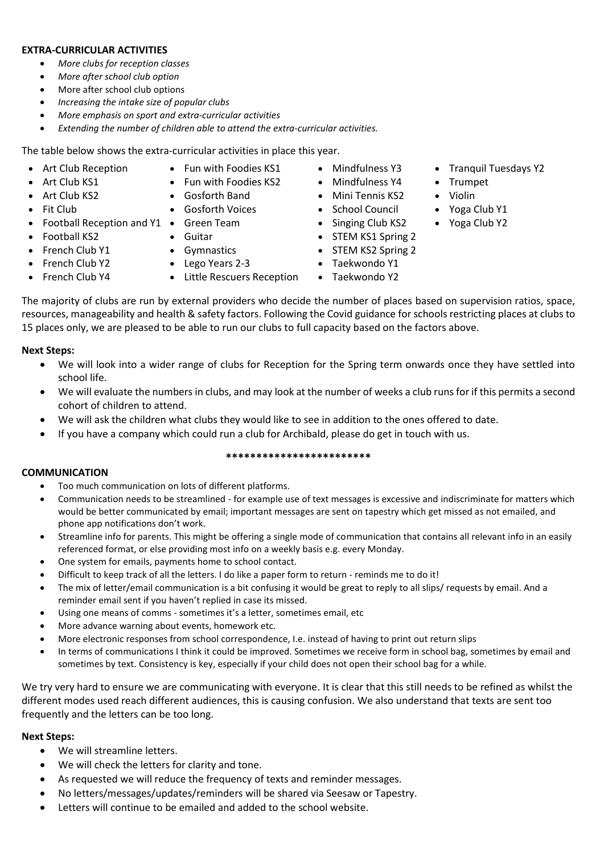## **EXTRA-CURRICULAR ACTIVITIES**

- *More clubs for reception classes*
- *More after school club option*
- More after school club options
- *Increasing the intake size of popular clubs*
- *More emphasis on sport and extra-curricular activities*
- Extending the number of children able to attend the extra-curricular activities.

The table below shows the extra-curricular activities in place this year.

- Art Club Reception
- Fun with Foodies KS1 • Fun with Foodies KS2 • Gosforth Band
- Art Club KS1 • Art Club KS2
- Fit Club
- Football Reception and Y1 Green Team • Gosforth Voices
- Football KS2
- Guitar
- French Club Y1
- Gymnastics
- French Club Y2 • French Club Y4
- Lego Years 2-3 • Little Rescuers Reception
- Mindfulness Y3 • Mindfulness Y4
- Mini Tennis KS2
- School Council
- Singing Club KS2
- STEM KS1 Spring 2
- STEM KS2 Spring 2
- Taekwondo Y1
- Taekwondo Y2

The majority of clubs are run by external providers who decide the number of places based on supervision ratios, space, resources, manageability and health & safety factors. Following the Covid guidance for schools restricting places at clubs to 15 places only, we are pleased to be able to run our clubs to full capacity based on the factors above.

## **Next Steps:**

- We will look into a wider range of clubs for Reception for the Spring term onwards once they have settled into school life.
- We will evaluate the numbers in clubs, and may look at the number of weeks a club runs for if this permits a second cohort of children to attend.
- We will ask the children what clubs they would like to see in addition to the ones offered to date.
- If you have a company which could run a club for Archibald, please do get in touch with us.

## **\*\*\*\*\*\*\*\*\*\*\*\*\*\*\*\*\*\*\*\*\*\*\*\***

## **COMMUNICATION**

- Too much communication on lots of different platforms.
- Communication needs to be streamlined for example use of text messages is excessive and indiscriminate for matters which would be better communicated by email; important messages are sent on tapestry which get missed as not emailed, and phone app notifications don't work.
- Streamline info for parents. This might be offering a single mode of communication that contains all relevant info in an easily referenced format, or else providing most info on a weekly basis e.g. every Monday.
- One system for emails, payments home to school contact.
- Difficult to keep track of all the letters. I do like a paper form to return reminds me to do it!
- The mix of letter/email communication is a bit confusing it would be great to reply to all slips/ requests by email. And a reminder email sent if you haven't replied in case its missed.
- Using one means of comms sometimes it's a letter, sometimes email, etc
- More advance warning about events, homework etc.
- More electronic responses from school correspondence, I.e. instead of having to print out return slips
- In terms of communications I think it could be improved. Sometimes we receive form in school bag, sometimes by email and sometimes by text. Consistency is key, especially if your child does not open their school bag for a while.

We try very hard to ensure we are communicating with everyone. It is clear that this still needs to be refined as whilst the different modes used reach different audiences, this is causing confusion. We also understand that texts are sent too frequently and the letters can be too long.

# **Next Steps:**

- We will streamline letters.
- We will check the letters for clarity and tone.
- As requested we will reduce the frequency of texts and reminder messages.
- No letters/messages/updates/reminders will be shared via Seesaw or Tapestry.
- Letters will continue to be emailed and added to the school website.
- Tranquil Tuesdays Y2
- Trumpet
- Violin
	- Yoga Club Y1
	- Yoga Club Y2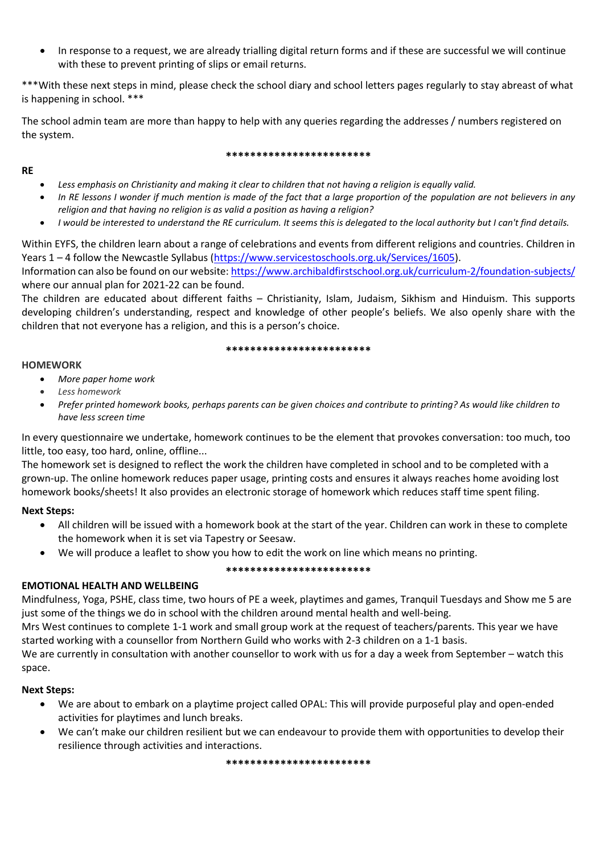• In response to a request, we are already trialling digital return forms and if these are successful we will continue with these to prevent printing of slips or email returns.

\*\*\*With these next steps in mind, please check the school diary and school letters pages regularly to stay abreast of what is happening in school. \*\*\*

The school admin team are more than happy to help with any queries regarding the addresses / numbers registered on the system.

### **\*\*\*\*\*\*\*\*\*\*\*\*\*\*\*\*\*\*\*\*\*\*\*\***

- *Less emphasis on Christianity and making it clear to children that not having a religion is equally valid.*
- *In RE lessons I wonder if much mention is made of the fact that a large proportion of the population are not believers in any religion and that having no religion is as valid a position as having a religion?*
- *I would be interested to understand the RE curriculum. It seems this is delegated to the local authority but I can't find details.*

Within EYFS, the children learn about a range of celebrations and events from different religions and countries. Children in Years 1 – 4 follow the Newcastle Syllabus [\(https://www.servicestoschools.org.uk/Services/1605\)](https://www.servicestoschools.org.uk/Services/1605). Information can also be found on our website[: https://www.archibaldfirstschool.org.uk/curriculum-2/foundation-subjects/](https://www.archibaldfirstschool.org.uk/curriculum-2/foundation-subjects/) where our annual plan for 2021-22 can be found.

The children are educated about different faiths – Christianity, Islam, Judaism, Sikhism and Hinduism. This supports developing children's understanding, respect and knowledge of other people's beliefs. We also openly share with the children that not everyone has a religion, and this is a person's choice.

#### **\*\*\*\*\*\*\*\*\*\*\*\*\*\*\*\*\*\*\*\*\*\*\*\***

## **HOMEWORK**

**RE**

- *More paper home work*
- *Less homework*
- *Prefer printed homework books, perhaps parents can be given choices and contribute to printing? As would like children to have less screen time*

In every questionnaire we undertake, homework continues to be the element that provokes conversation: too much, too little, too easy, too hard, online, offline...

The homework set is designed to reflect the work the children have completed in school and to be completed with a grown-up. The online homework reduces paper usage, printing costs and ensures it always reaches home avoiding lost homework books/sheets! It also provides an electronic storage of homework which reduces staff time spent filing.

## **Next Steps:**

- All children will be issued with a homework book at the start of the year. Children can work in these to complete the homework when it is set via Tapestry or Seesaw.
- We will produce a leaflet to show you how to edit the work on line which means no printing.

### **\*\*\*\*\*\*\*\*\*\*\*\*\*\*\*\*\*\*\*\*\*\*\*\***

## **EMOTIONAL HEALTH AND WELLBEING**

Mindfulness, Yoga, PSHE, class time, two hours of PE a week, playtimes and games, Tranquil Tuesdays and Show me 5 are just some of the things we do in school with the children around mental health and well-being.

Mrs West continues to complete 1-1 work and small group work at the request of teachers/parents. This year we have started working with a counsellor from Northern Guild who works with 2-3 children on a 1-1 basis.

We are currently in consultation with another counsellor to work with us for a day a week from September – watch this space.

## **Next Steps:**

- We are about to embark on a playtime project called OPAL: This will provide purposeful play and open-ended activities for playtimes and lunch breaks.
- We can't make our children resilient but we can endeavour to provide them with opportunities to develop their resilience through activities and interactions.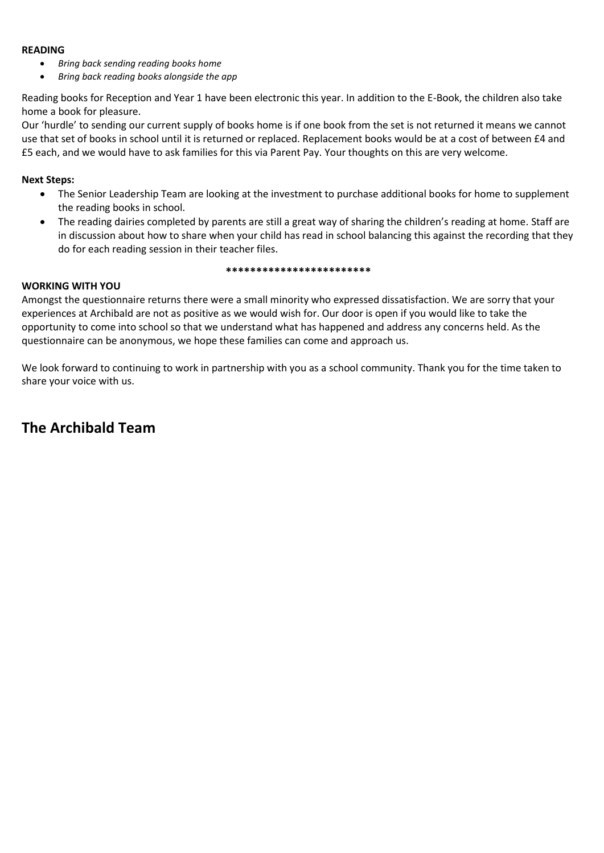## **READING**

- *Bring back sending reading books home*
- *Bring back reading books alongside the app*

Reading books for Reception and Year 1 have been electronic this year. In addition to the E-Book, the children also take home a book for pleasure.

Our 'hurdle' to sending our current supply of books home is if one book from the set is not returned it means we cannot use that set of books in school until it is returned or replaced. Replacement books would be at a cost of between £4 and £5 each, and we would have to ask families for this via Parent Pay. Your thoughts on this are very welcome.

## **Next Steps:**

- The Senior Leadership Team are looking at the investment to purchase additional books for home to supplement the reading books in school.
- The reading dairies completed by parents are still a great way of sharing the children's reading at home. Staff are in discussion about how to share when your child has read in school balancing this against the recording that they do for each reading session in their teacher files.

#### **\*\*\*\*\*\*\*\*\*\*\*\*\*\*\*\*\*\*\*\*\*\*\*\***

## **WORKING WITH YOU**

Amongst the questionnaire returns there were a small minority who expressed dissatisfaction. We are sorry that your experiences at Archibald are not as positive as we would wish for. Our door is open if you would like to take the opportunity to come into school so that we understand what has happened and address any concerns held. As the questionnaire can be anonymous, we hope these families can come and approach us.

We look forward to continuing to work in partnership with you as a school community. Thank you for the time taken to share your voice with us.

# **The Archibald Team**